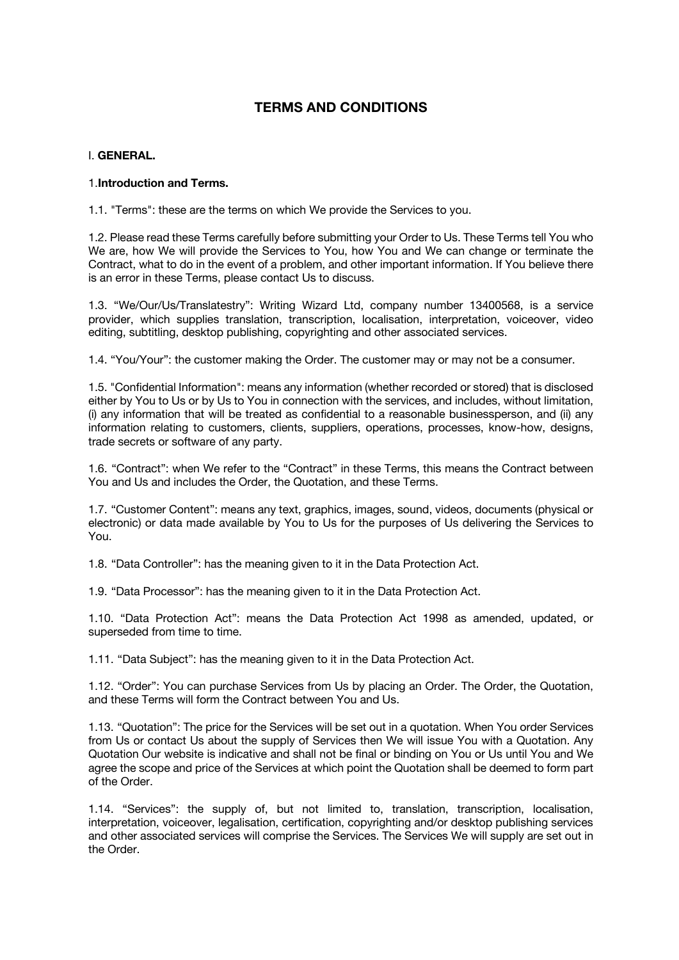# **TERMS AND CONDITIONS**

# I. **GENERAL.**

# 1.**Introduction and Terms.**

1.1. "Terms": these are the terms on which We provide the Services to you.

1.2. Please read these Terms carefully before submitting your Order to Us. These Terms tell You who We are, how We will provide the Services to You, how You and We can change or terminate the Contract, what to do in the event of a problem, and other important information. If You believe there is an error in these Terms, please contact Us to discuss.

1.3. "We/Our/Us/Translatestry": Writing Wizard Ltd, company number 13400568, is a service provider, which supplies translation, transcription, localisation, interpretation, voiceover, video editing, subtitling, desktop publishing, copyrighting and other associated services.

1.4. "You/Your": the customer making the Order. The customer may or may not be a consumer.

1.5. "Confidential Information": means any information (whether recorded or stored) that is disclosed either by You to Us or by Us to You in connection with the services, and includes, without limitation, (i) any information that will be treated as confidential to a reasonable businessperson, and (ii) any information relating to customers, clients, suppliers, operations, processes, know-how, designs, trade secrets or software of any party.

1.6. "Contract": when We refer to the "Contract" in these Terms, this means the Contract between You and Us and includes the Order, the Quotation, and these Terms.

1.7. "Customer Content": means any text, graphics, images, sound, videos, documents (physical or electronic) or data made available by You to Us for the purposes of Us delivering the Services to You.

1.8. "Data Controller": has the meaning given to it in the Data Protection Act.

1.9. "Data Processor": has the meaning given to it in the Data Protection Act.

1.10. "Data Protection Act": means the Data Protection Act 1998 as amended, updated, or superseded from time to time.

1.11. "Data Subject": has the meaning given to it in the Data Protection Act.

1.12. "Order": You can purchase Services from Us by placing an Order. The Order, the Quotation, and these Terms will form the Contract between You and Us.

1.13. "Quotation": The price for the Services will be set out in a quotation. When You order Services from Us or contact Us about the supply of Services then We will issue You with a Quotation. Any Quotation Our website is indicative and shall not be final or binding on You or Us until You and We agree the scope and price of the Services at which point the Quotation shall be deemed to form part of the Order.

1.14. "Services": the supply of, but not limited to, translation, transcription, localisation, interpretation, voiceover, legalisation, certification, copyrighting and/or desktop publishing services and other associated services will comprise the Services. The Services We will supply are set out in the Order.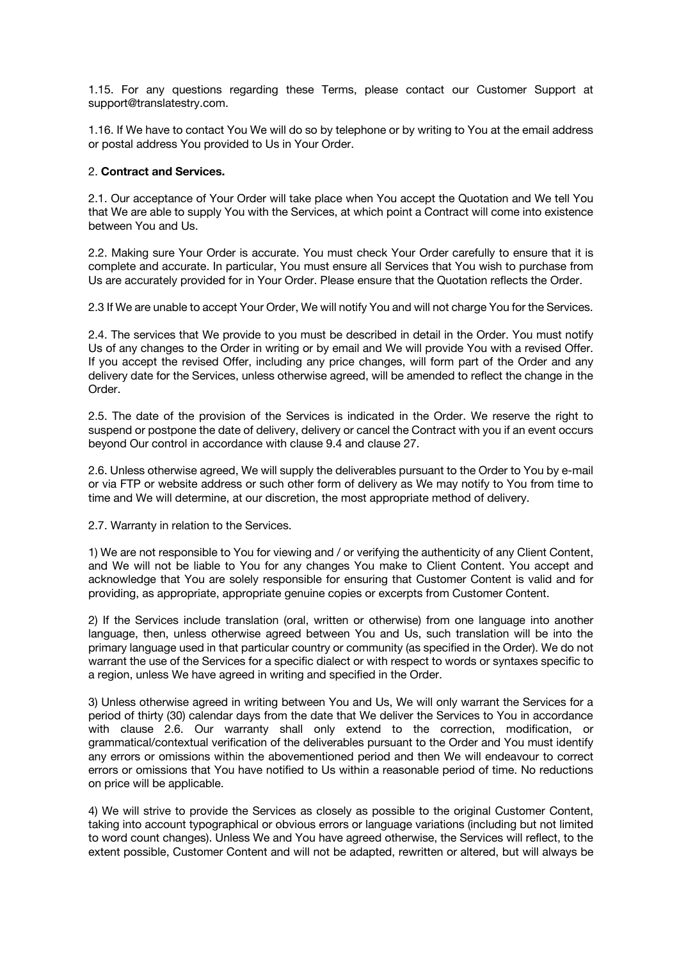1.15. For any questions regarding these Terms, please contact our Customer Support at support@translatestry.com.

1.16. If We have to contact You We will do so by telephone or by writing to You at the email address or postal address You provided to Us in Your Order.

## 2. **Contract and Services.**

2.1. Our acceptance of Your Order will take place when You accept the Quotation and We tell You that We are able to supply You with the Services, at which point a Contract will come into existence between You and Us.

2.2. Making sure Your Order is accurate. You must check Your Order carefully to ensure that it is complete and accurate. In particular, You must ensure all Services that You wish to purchase from Us are accurately provided for in Your Order. Please ensure that the Quotation reflects the Order.

2.3 If We are unable to accept Your Order, We will notify You and will not charge You for the Services.

2.4. The services that We provide to you must be described in detail in the Order. You must notify Us of any changes to the Order in writing or by email and We will provide You with a revised Offer. If you accept the revised Offer, including any price changes, will form part of the Order and any delivery date for the Services, unless otherwise agreed, will be amended to reflect the change in the Order.

2.5. The date of the provision of the Services is indicated in the Order. We reserve the right to suspend or postpone the date of delivery, delivery or cancel the Contract with you if an event occurs beyond Our control in accordance with clause 9.4 and clause 27.

2.6. Unless otherwise agreed, We will supply the deliverables pursuant to the Order to You by e-mail or via FTP or website address or such other form of delivery as We may notify to You from time to time and We will determine, at our discretion, the most appropriate method of delivery.

2.7. Warranty in relation to the Services.

1) We are not responsible to You for viewing and / or verifying the authenticity of any Client Content, and We will not be liable to You for any changes You make to Client Content. You accept and acknowledge that You are solely responsible for ensuring that Customer Content is valid and for providing, as appropriate, appropriate genuine copies or excerpts from Customer Content.

2) If the Services include translation (oral, written or otherwise) from one language into another language, then, unless otherwise agreed between You and Us, such translation will be into the primary language used in that particular country or community (as specified in the Order). We do not warrant the use of the Services for a specific dialect or with respect to words or syntaxes specific to a region, unless We have agreed in writing and specified in the Order.

3) Unless otherwise agreed in writing between You and Us, We will only warrant the Services for a period of thirty (30) calendar days from the date that We deliver the Services to You in accordance with clause 2.6. Our warranty shall only extend to the correction, modification, or grammatical/contextual verification of the deliverables pursuant to the Order and You must identify any errors or omissions within the abovementioned period and then We will endeavour to correct errors or omissions that You have notified to Us within a reasonable period of time. No reductions on price will be applicable.

4) We will strive to provide the Services as closely as possible to the original Customer Content, taking into account typographical or obvious errors or language variations (including but not limited to word count changes). Unless We and You have agreed otherwise, the Services will reflect, to the extent possible, Customer Content and will not be adapted, rewritten or altered, but will always be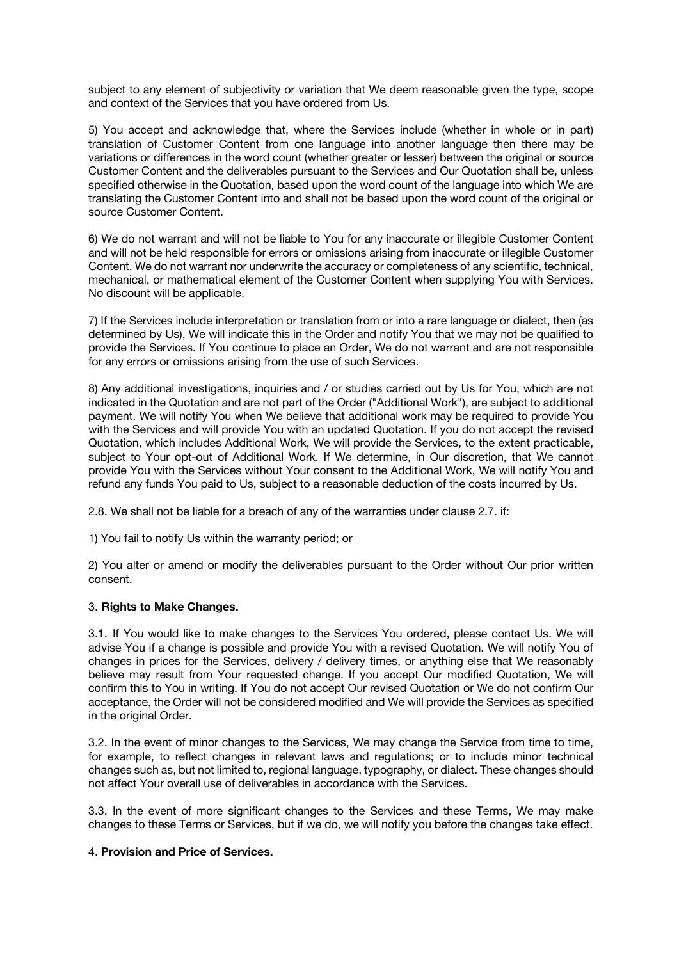subject to any element of subjectivity or variation that We deem reasonable given the type, scope and context of the Services that you have ordered from Us.

5) You accept and acknowledge that, where the Services include (whether in whole or in part) translation of Customer Content from one language into another language then there may be variations or differences in the word count (whether greater or lesser) between the original or source Customer Content and the deliverables pursuant to the Services and Our Quotation shall be, unless specified otherwise in the Quotation, based upon the word count of the language into which We are translating the Customer Content into and shall not be based upon the word count of the original or source Customer Content.

6) We do not warrant and will not be liable to You for any inaccurate or illegible Customer Content and will not be held responsible for errors or omissions arising from inaccurate or illegible Customer Content. We do not warrant nor underwrite the accuracy or completeness of any scientific, technical, mechanical, or mathematical element of the Customer Content when supplying You with Services. No discount will be applicable.

7) If the Services include interpretation or translation from or into a rare language or dialect, then (as determined by Us), We will indicate this in the Order and notify You that we may not be qualified to provide the Services. If You continue to place an Order, We do not warrant and are not responsible for any errors or omissions arising from the use of such Services.

8) Any additional investigations, inquiries and / or studies carried out by Us for You, which are not indicated in the Quotation and are not part of the Order ("Additional Work"), are subject to additional payment. We will notify You when We believe that additional work may be required to provide You with the Services and will provide You with an updated Quotation. If you do not accept the revised Quotation, which includes Additional Work, We will provide the Services, to the extent practicable, subject to Your opt-out of Additional Work. If We determine, in Our discretion, that We cannot provide You with the Services without Your consent to the Additional Work, We will notify You and refund any funds You paid to Us, subject to a reasonable deduction of the costs incurred by Us.

2.8. We shall not be liable for a breach of any of the warranties under clause 2.7. if:

1) You fail to notify Us within the warranty period; or

2) You alter or amend or modify the deliverables pursuant to the Order without Our prior written consent.

## 3. **Rights to Make Changes.**

3.1. If You would like to make changes to the Services You ordered, please contact Us. We will advise You if a change is possible and provide You with a revised Quotation. We will notify You of changes in prices for the Services, delivery / delivery times, or anything else that We reasonably believe may result from Your requested change. If you accept Our modified Quotation, We will confirm this to You in writing. If You do not accept Our revised Quotation or We do not confirm Our acceptance, the Order will not be considered modified and We will provide the Services as specified in the original Order.

3.2. In the event of minor changes to the Services, We may change the Service from time to time, for example, to reflect changes in relevant laws and regulations; or to include minor technical changes such as, but not limited to, regional language, typography, or dialect. These changes should not affect Your overall use of deliverables in accordance with the Services.

3.3. In the event of more significant changes to the Services and these Terms, We may make changes to these Terms or Services, but if we do, we will notify you before the changes take effect.

## 4. **Provision and Price of Services.**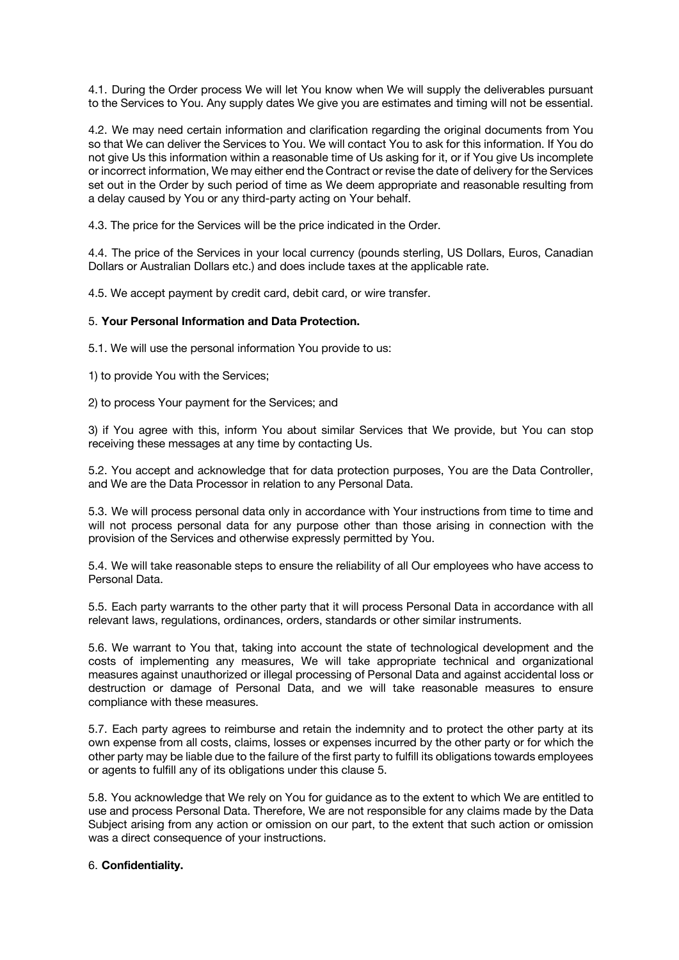4.1. During the Order process We will let You know when We will supply the deliverables pursuant to the Services to You. Any supply dates We give you are estimates and timing will not be essential.

4.2. We may need certain information and clarification regarding the original documents from You so that We can deliver the Services to You. We will contact You to ask for this information. If You do not give Us this information within a reasonable time of Us asking for it, or if You give Us incomplete or incorrect information, We may either end the Contract or revise the date of delivery for the Services set out in the Order by such period of time as We deem appropriate and reasonable resulting from a delay caused by You or any third-party acting on Your behalf.

4.3. The price for the Services will be the price indicated in the Order.

4.4. The price of the Services in your local currency (pounds sterling, US Dollars, Euros, Canadian Dollars or Australian Dollars etc.) and does include taxes at the applicable rate.

4.5. We accept payment by credit card, debit card, or wire transfer.

# 5. **Your Personal Information and Data Protection.**

5.1. We will use the personal information You provide to us:

1) to provide You with the Services;

2) to process Your payment for the Services; and

3) if You agree with this, inform You about similar Services that We provide, but You can stop receiving these messages at any time by contacting Us.

5.2. You accept and acknowledge that for data protection purposes, You are the Data Controller, and We are the Data Processor in relation to any Personal Data.

5.3. We will process personal data only in accordance with Your instructions from time to time and will not process personal data for any purpose other than those arising in connection with the provision of the Services and otherwise expressly permitted by You.

5.4. We will take reasonable steps to ensure the reliability of all Our employees who have access to Personal Data.

5.5. Each party warrants to the other party that it will process Personal Data in accordance with all relevant laws, regulations, ordinances, orders, standards or other similar instruments.

5.6. We warrant to You that, taking into account the state of technological development and the costs of implementing any measures, We will take appropriate technical and organizational measures against unauthorized or illegal processing of Personal Data and against accidental loss or destruction or damage of Personal Data, and we will take reasonable measures to ensure compliance with these measures.

5.7. Each party agrees to reimburse and retain the indemnity and to protect the other party at its own expense from all costs, claims, losses or expenses incurred by the other party or for which the other party may be liable due to the failure of the first party to fulfill its obligations towards employees or agents to fulfill any of its obligations under this clause 5.

5.8. You acknowledge that We rely on You for guidance as to the extent to which We are entitled to use and process Personal Data. Therefore, We are not responsible for any claims made by the Data Subject arising from any action or omission on our part, to the extent that such action or omission was a direct consequence of your instructions.

## 6. **Confidentiality.**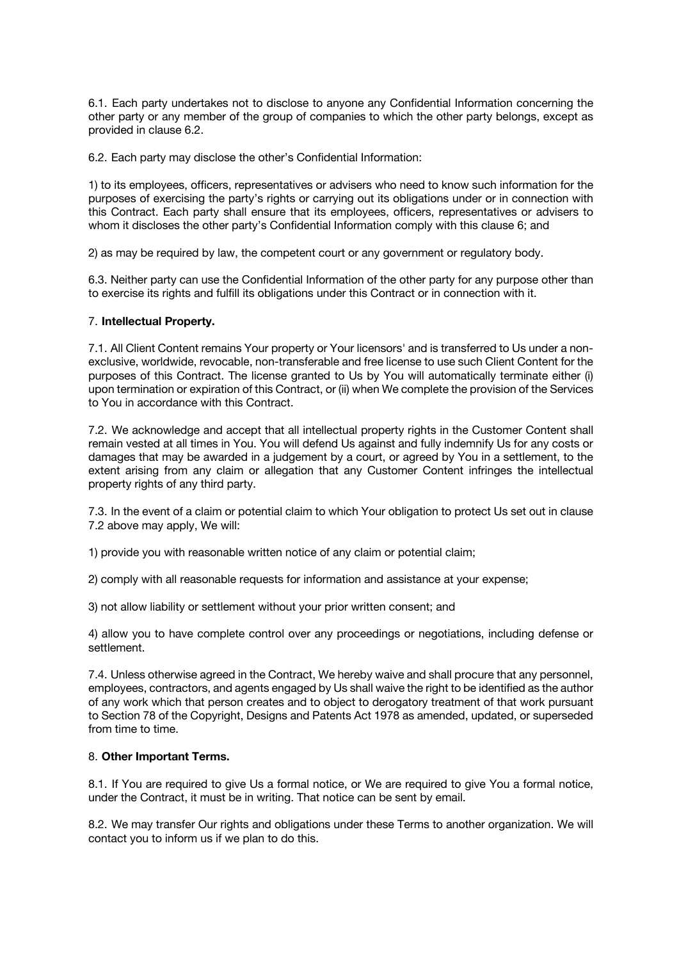6.1. Each party undertakes not to disclose to anyone any Confidential Information concerning the other party or any member of the group of companies to which the other party belongs, except as provided in clause 6.2.

6.2. Each party may disclose the other's Confidential Information:

1) to its employees, officers, representatives or advisers who need to know such information for the purposes of exercising the party's rights or carrying out its obligations under or in connection with this Contract. Each party shall ensure that its employees, officers, representatives or advisers to whom it discloses the other party's Confidential Information comply with this clause 6; and

2) as may be required by law, the competent court or any government or regulatory body.

6.3. Neither party can use the Confidential Information of the other party for any purpose other than to exercise its rights and fulfill its obligations under this Contract or in connection with it.

# 7. **Intellectual Property.**

7.1. All Client Content remains Your property or Your licensors' and is transferred to Us under a nonexclusive, worldwide, revocable, non-transferable and free license to use such Client Content for the purposes of this Contract. The license granted to Us by You will automatically terminate either (i) upon termination or expiration of this Contract, or (ii) when We complete the provision of the Services to You in accordance with this Contract.

7.2. We acknowledge and accept that all intellectual property rights in the Customer Content shall remain vested at all times in You. You will defend Us against and fully indemnify Us for any costs or damages that may be awarded in a judgement by a court, or agreed by You in a settlement, to the extent arising from any claim or allegation that any Customer Content infringes the intellectual property rights of any third party.

7.3. In the event of a claim or potential claim to which Your obligation to protect Us set out in clause 7.2 above may apply, We will:

1) provide you with reasonable written notice of any claim or potential claim;

2) comply with all reasonable requests for information and assistance at your expense;

3) not allow liability or settlement without your prior written consent; and

4) allow you to have complete control over any proceedings or negotiations, including defense or settlement.

7.4. Unless otherwise agreed in the Contract, We hereby waive and shall procure that any personnel, employees, contractors, and agents engaged by Us shall waive the right to be identified as the author of any work which that person creates and to object to derogatory treatment of that work pursuant to Section 78 of the Copyright, Designs and Patents Act 1978 as amended, updated, or superseded from time to time.

# 8. **Other Important Terms.**

8.1. If You are required to give Us a formal notice, or We are required to give You a formal notice, under the Contract, it must be in writing. That notice can be sent by email.

8.2. We may transfer Our rights and obligations under these Terms to another organization. We will contact you to inform us if we plan to do this.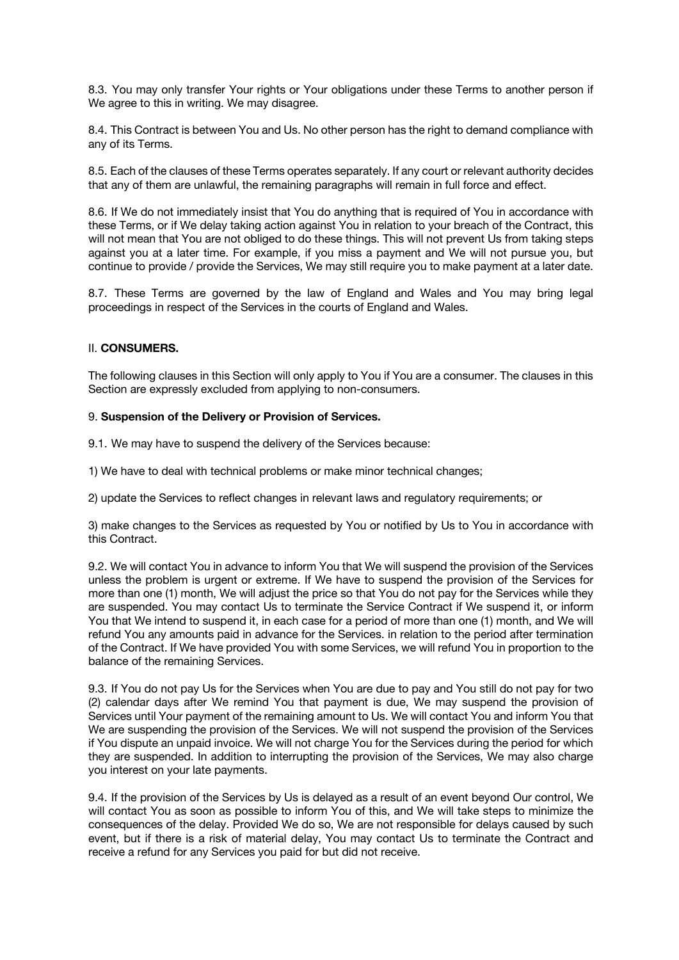8.3. You may only transfer Your rights or Your obligations under these Terms to another person if We agree to this in writing. We may disagree.

8.4. This Contract is between You and Us. No other person has the right to demand compliance with any of its Terms.

8.5. Each of the clauses of these Terms operates separately. If any court or relevant authority decides that any of them are unlawful, the remaining paragraphs will remain in full force and effect.

8.6. If We do not immediately insist that You do anything that is required of You in accordance with these Terms, or if We delay taking action against You in relation to your breach of the Contract, this will not mean that You are not obliged to do these things. This will not prevent Us from taking steps against you at a later time. For example, if you miss a payment and We will not pursue you, but continue to provide / provide the Services, We may still require you to make payment at a later date.

8.7. These Terms are governed by the law of England and Wales and You may bring legal proceedings in respect of the Services in the courts of England and Wales.

## II. **CONSUMERS.**

The following clauses in this Section will only apply to You if You are a consumer. The clauses in this Section are expressly excluded from applying to non-consumers.

## 9. **Suspension of the Delivery or Provision of Services.**

9.1. We may have to suspend the delivery of the Services because:

1) We have to deal with technical problems or make minor technical changes;

2) update the Services to reflect changes in relevant laws and regulatory requirements; or

3) make changes to the Services as requested by You or notified by Us to You in accordance with this Contract.

9.2. We will contact You in advance to inform You that We will suspend the provision of the Services unless the problem is urgent or extreme. If We have to suspend the provision of the Services for more than one (1) month, We will adjust the price so that You do not pay for the Services while they are suspended. You may contact Us to terminate the Service Contract if We suspend it, or inform You that We intend to suspend it, in each case for a period of more than one (1) month, and We will refund You any amounts paid in advance for the Services. in relation to the period after termination of the Contract. If We have provided You with some Services, we will refund You in proportion to the balance of the remaining Services.

9.3. If You do not pay Us for the Services when You are due to pay and You still do not pay for two (2) calendar days after We remind You that payment is due, We may suspend the provision of Services until Your payment of the remaining amount to Us. We will contact You and inform You that We are suspending the provision of the Services. We will not suspend the provision of the Services if You dispute an unpaid invoice. We will not charge You for the Services during the period for which they are suspended. In addition to interrupting the provision of the Services, We may also charge you interest on your late payments.

9.4. If the provision of the Services by Us is delayed as a result of an event beyond Our control, We will contact You as soon as possible to inform You of this, and We will take steps to minimize the consequences of the delay. Provided We do so, We are not responsible for delays caused by such event, but if there is a risk of material delay, You may contact Us to terminate the Contract and receive a refund for any Services you paid for but did not receive.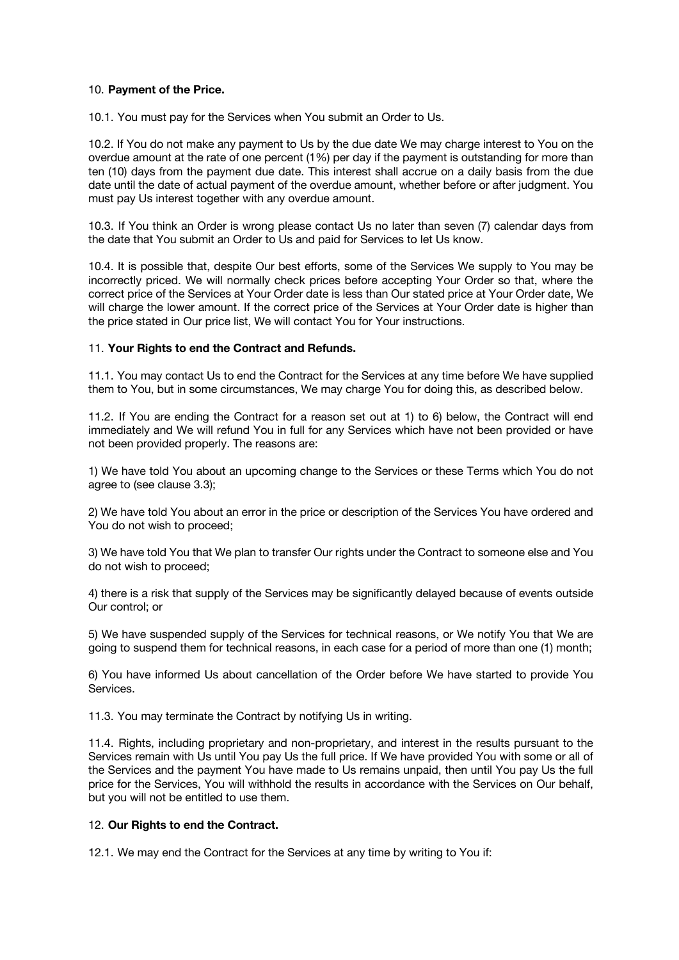## 10. **Payment of the Price.**

10.1. You must pay for the Services when You submit an Order to Us.

10.2. If You do not make any payment to Us by the due date We may charge interest to You on the overdue amount at the rate of one percent (1%) per day if the payment is outstanding for more than ten (10) days from the payment due date. This interest shall accrue on a daily basis from the due date until the date of actual payment of the overdue amount, whether before or after judgment. You must pay Us interest together with any overdue amount.

10.3. If You think an Order is wrong please contact Us no later than seven (7) calendar days from the date that You submit an Order to Us and paid for Services to let Us know.

10.4. It is possible that, despite Our best efforts, some of the Services We supply to You may be incorrectly priced. We will normally check prices before accepting Your Order so that, where the correct price of the Services at Your Order date is less than Our stated price at Your Order date, We will charge the lower amount. If the correct price of the Services at Your Order date is higher than the price stated in Our price list, We will contact You for Your instructions.

# 11. **Your Rights to end the Contract and Refunds.**

11.1. You may contact Us to end the Contract for the Services at any time before We have supplied them to You, but in some circumstances, We may charge You for doing this, as described below.

11.2. If You are ending the Contract for a reason set out at 1) to 6) below, the Contract will end immediately and We will refund You in full for any Services which have not been provided or have not been provided properly. The reasons are:

1) We have told You about an upcoming change to the Services or these Terms which You do not agree to (see clause 3.3);

2) We have told You about an error in the price or description of the Services You have ordered and You do not wish to proceed;

3) We have told You that We plan to transfer Our rights under the Contract to someone else and You do not wish to proceed;

4) there is a risk that supply of the Services may be significantly delayed because of events outside Our control; or

5) We have suspended supply of the Services for technical reasons, or We notify You that We are going to suspend them for technical reasons, in each case for a period of more than one (1) month;

6) You have informed Us about cancellation of the Order before We have started to provide You Services.

11.3. You may terminate the Contract by notifying Us in writing.

11.4. Rights, including proprietary and non-proprietary, and interest in the results pursuant to the Services remain with Us until You pay Us the full price. If We have provided You with some or all of the Services and the payment You have made to Us remains unpaid, then until You pay Us the full price for the Services, You will withhold the results in accordance with the Services on Our behalf, but you will not be entitled to use them.

## 12. **Our Rights to end the Contract.**

12.1. We may end the Contract for the Services at any time by writing to You if: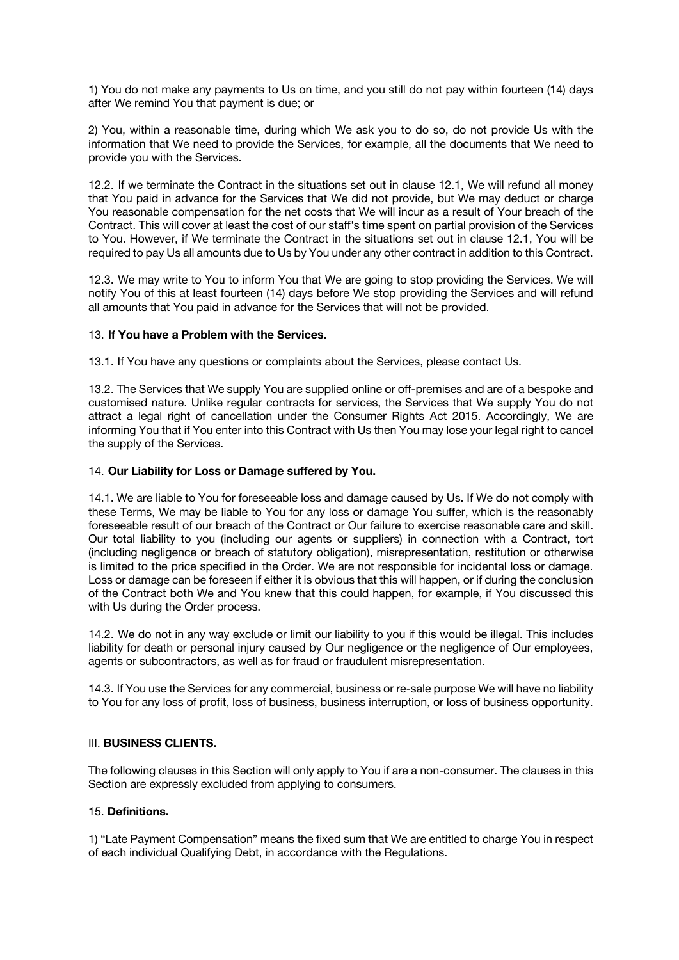1) You do not make any payments to Us on time, and you still do not pay within fourteen (14) days after We remind You that payment is due; or

2) You, within a reasonable time, during which We ask you to do so, do not provide Us with the information that We need to provide the Services, for example, all the documents that We need to provide you with the Services.

12.2. If we terminate the Contract in the situations set out in clause 12.1, We will refund all money that You paid in advance for the Services that We did not provide, but We may deduct or charge You reasonable compensation for the net costs that We will incur as a result of Your breach of the Contract. This will cover at least the cost of our staff's time spent on partial provision of the Services to You. However, if We terminate the Contract in the situations set out in clause 12.1, You will be required to pay Us all amounts due to Us by You under any other contract in addition to this Contract.

12.3. We may write to You to inform You that We are going to stop providing the Services. We will notify You of this at least fourteen (14) days before We stop providing the Services and will refund all amounts that You paid in advance for the Services that will not be provided.

# 13. **If You have a Problem with the Services.**

13.1. If You have any questions or complaints about the Services, please contact Us.

13.2. The Services that We supply You are supplied online or off-premises and are of a bespoke and customised nature. Unlike regular contracts for services, the Services that We supply You do not attract a legal right of cancellation under the Consumer Rights Act 2015. Accordingly, We are informing You that if You enter into this Contract with Us then You may lose your legal right to cancel the supply of the Services.

# 14. **Our Liability for Loss or Damage suffered by You.**

14.1. We are liable to You for foreseeable loss and damage caused by Us. If We do not comply with these Terms, We may be liable to You for any loss or damage You suffer, which is the reasonably foreseeable result of our breach of the Contract or Our failure to exercise reasonable care and skill. Our total liability to you (including our agents or suppliers) in connection with a Contract, tort (including negligence or breach of statutory obligation), misrepresentation, restitution or otherwise is limited to the price specified in the Order. We are not responsible for incidental loss or damage. Loss or damage can be foreseen if either it is obvious that this will happen, or if during the conclusion of the Contract both We and You knew that this could happen, for example, if You discussed this with Us during the Order process.

14.2. We do not in any way exclude or limit our liability to you if this would be illegal. This includes liability for death or personal injury caused by Our negligence or the negligence of Our employees, agents or subcontractors, as well as for fraud or fraudulent misrepresentation.

14.3. If You use the Services for any commercial, business or re-sale purpose We will have no liability to You for any loss of profit, loss of business, business interruption, or loss of business opportunity.

## III. **BUSINESS CLIENTS.**

The following clauses in this Section will only apply to You if are a non-consumer. The clauses in this Section are expressly excluded from applying to consumers.

## 15. **Definitions.**

1) "Late Payment Compensation" means the fixed sum that We are entitled to charge You in respect of each individual Qualifying Debt, in accordance with the Regulations.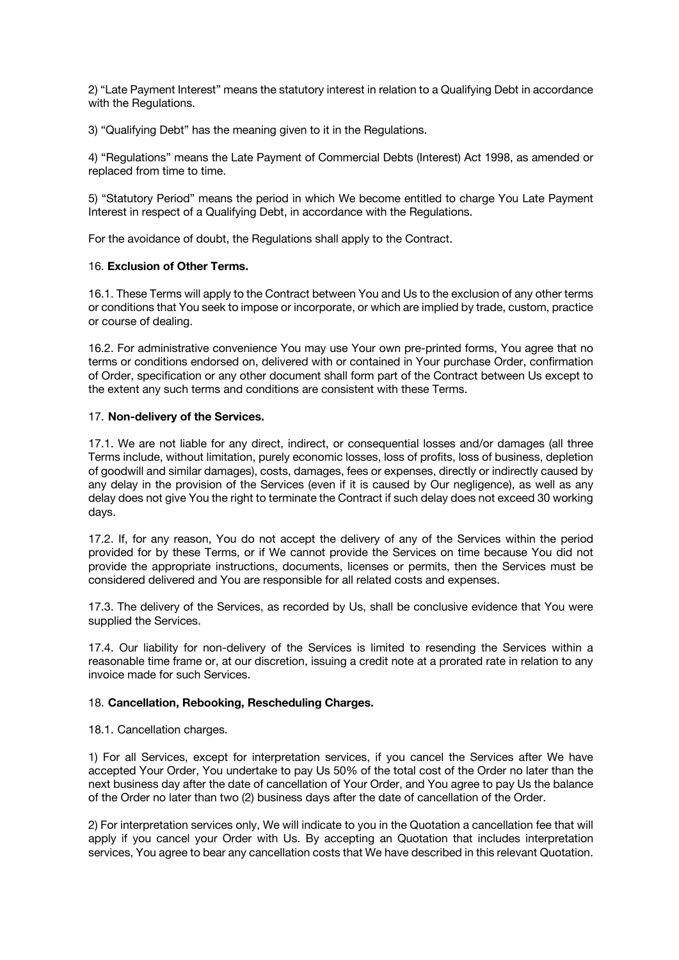2) "Late Payment Interest" means the statutory interest in relation to a Qualifying Debt in accordance with the Regulations.

3) "Qualifying Debt" has the meaning given to it in the Regulations.

4) "Regulations" means the Late Payment of Commercial Debts (Interest) Act 1998, as amended or replaced from time to time.

5) "Statutory Period" means the period in which We become entitled to charge You Late Payment Interest in respect of a Qualifying Debt, in accordance with the Regulations.

For the avoidance of doubt, the Regulations shall apply to the Contract.

# 16. **Exclusion of Other Terms.**

16.1. These Terms will apply to the Contract between You and Us to the exclusion of any other terms or conditions that You seek to impose or incorporate, or which are implied by trade, custom, practice or course of dealing.

16.2. For administrative convenience You may use Your own pre-printed forms, You agree that no terms or conditions endorsed on, delivered with or contained in Your purchase Order, confirmation of Order, specification or any other document shall form part of the Contract between Us except to the extent any such terms and conditions are consistent with these Terms.

# 17. **Non-delivery of the Services.**

17.1. We are not liable for any direct, indirect, or consequential losses and/or damages (all three Terms include, without limitation, purely economic losses, loss of profits, loss of business, depletion of goodwill and similar damages), costs, damages, fees or expenses, directly or indirectly caused by any delay in the provision of the Services (even if it is caused by Our negligence), as well as any delay does not give You the right to terminate the Contract if such delay does not exceed 30 working days.

17.2. If, for any reason, You do not accept the delivery of any of the Services within the period provided for by these Terms, or if We cannot provide the Services on time because You did not provide the appropriate instructions, documents, licenses or permits, then the Services must be considered delivered and You are responsible for all related costs and expenses.

17.3. The delivery of the Services, as recorded by Us, shall be conclusive evidence that You were supplied the Services.

17.4. Our liability for non-delivery of the Services is limited to resending the Services within a reasonable time frame or, at our discretion, issuing a credit note at a prorated rate in relation to any invoice made for such Services.

## 18. **Cancellation, Rebooking, Rescheduling Charges.**

18.1. Cancellation charges.

1) For all Services, except for interpretation services, if you cancel the Services after We have accepted Your Order, You undertake to pay Us 50% of the total cost of the Order no later than the next business day after the date of cancellation of Your Order, and You agree to pay Us the balance of the Order no later than two (2) business days after the date of cancellation of the Order.

2) For interpretation services only, We will indicate to you in the Quotation a cancellation fee that will apply if you cancel your Order with Us. By accepting an Quotation that includes interpretation services, You agree to bear any cancellation costs that We have described in this relevant Quotation.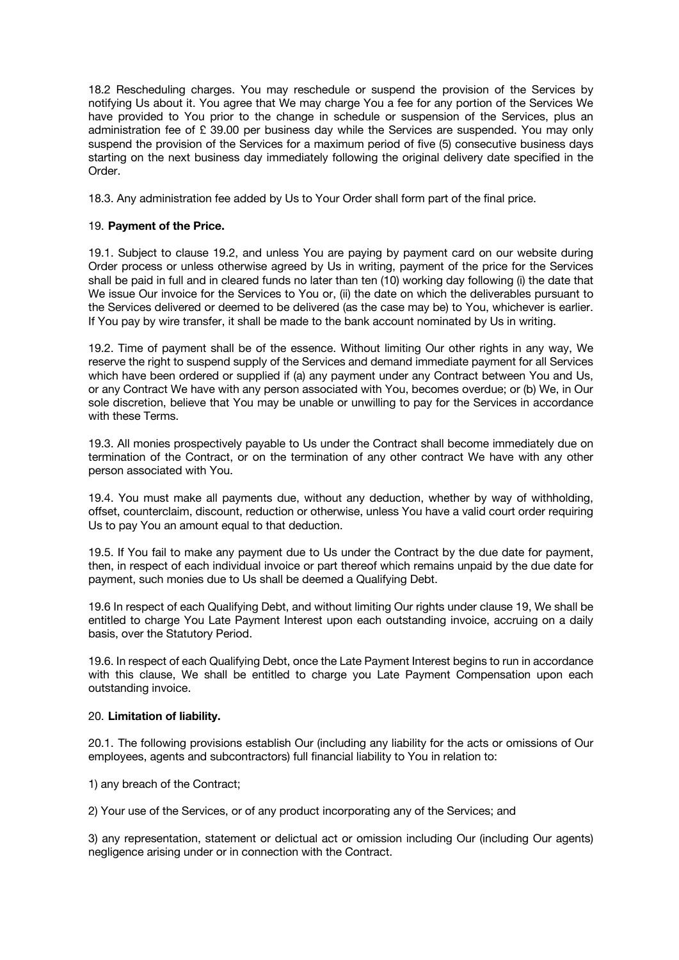18.2 Rescheduling charges. You may reschedule or suspend the provision of the Services by notifying Us about it. You agree that We may charge You a fee for any portion of the Services We have provided to You prior to the change in schedule or suspension of the Services, plus an administration fee of £ 39.00 per business day while the Services are suspended. You may only suspend the provision of the Services for a maximum period of five (5) consecutive business days starting on the next business day immediately following the original delivery date specified in the Order.

18.3. Any administration fee added by Us to Your Order shall form part of the final price.

# 19. **Payment of the Price.**

19.1. Subject to clause 19.2, and unless You are paying by payment card on our website during Order process or unless otherwise agreed by Us in writing, payment of the price for the Services shall be paid in full and in cleared funds no later than ten (10) working day following (i) the date that We issue Our invoice for the Services to You or, (ii) the date on which the deliverables pursuant to the Services delivered or deemed to be delivered (as the case may be) to You, whichever is earlier. If You pay by wire transfer, it shall be made to the bank account nominated by Us in writing.

19.2. Time of payment shall be of the essence. Without limiting Our other rights in any way, We reserve the right to suspend supply of the Services and demand immediate payment for all Services which have been ordered or supplied if (a) any payment under any Contract between You and Us, or any Contract We have with any person associated with You, becomes overdue; or (b) We, in Our sole discretion, believe that You may be unable or unwilling to pay for the Services in accordance with these Terms.

19.3. All monies prospectively payable to Us under the Contract shall become immediately due on termination of the Contract, or on the termination of any other contract We have with any other person associated with You.

19.4. You must make all payments due, without any deduction, whether by way of withholding, offset, counterclaim, discount, reduction or otherwise, unless You have a valid court order requiring Us to pay You an amount equal to that deduction.

19.5. If You fail to make any payment due to Us under the Contract by the due date for payment, then, in respect of each individual invoice or part thereof which remains unpaid by the due date for payment, such monies due to Us shall be deemed a Qualifying Debt.

19.6 In respect of each Qualifying Debt, and without limiting Our rights under clause 19, We shall be entitled to charge You Late Payment Interest upon each outstanding invoice, accruing on a daily basis, over the Statutory Period.

19.6. In respect of each Qualifying Debt, once the Late Payment Interest begins to run in accordance with this clause, We shall be entitled to charge you Late Payment Compensation upon each outstanding invoice.

# 20. **Limitation of liability.**

20.1. The following provisions establish Our (including any liability for the acts or omissions of Our employees, agents and subcontractors) full financial liability to You in relation to:

1) any breach of the Contract;

2) Your use of the Services, or of any product incorporating any of the Services; and

3) any representation, statement or delictual act or omission including Our (including Our agents) negligence arising under or in connection with the Contract.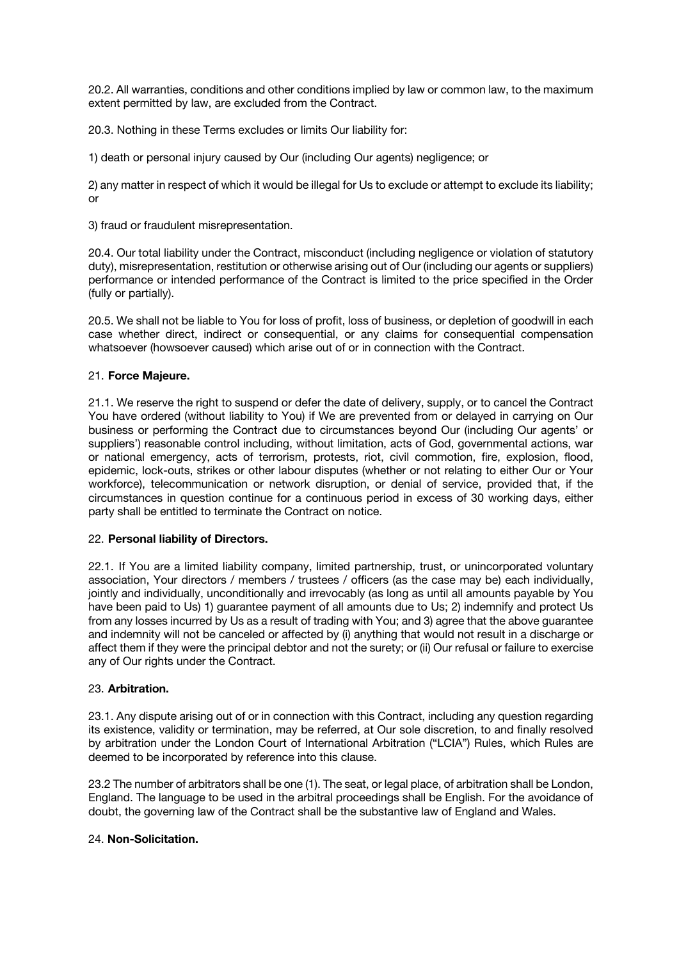20.2. All warranties, conditions and other conditions implied by law or common law, to the maximum extent permitted by law, are excluded from the Contract.

20.3. Nothing in these Terms excludes or limits Our liability for:

1) death or personal injury caused by Our (including Our agents) negligence; or

2) any matter in respect of which it would be illegal for Us to exclude or attempt to exclude its liability; or

3) fraud or fraudulent misrepresentation.

20.4. Our total liability under the Contract, misconduct (including negligence or violation of statutory duty), misrepresentation, restitution or otherwise arising out of Our (including our agents or suppliers) performance or intended performance of the Contract is limited to the price specified in the Order (fully or partially).

20.5. We shall not be liable to You for loss of profit, loss of business, or depletion of goodwill in each case whether direct, indirect or consequential, or any claims for consequential compensation whatsoever (howsoever caused) which arise out of or in connection with the Contract.

# 21. **Force Majeure.**

21.1. We reserve the right to suspend or defer the date of delivery, supply, or to cancel the Contract You have ordered (without liability to You) if We are prevented from or delayed in carrying on Our business or performing the Contract due to circumstances beyond Our (including Our agents' or suppliers') reasonable control including, without limitation, acts of God, governmental actions, war or national emergency, acts of terrorism, protests, riot, civil commotion, fire, explosion, flood, epidemic, lock-outs, strikes or other labour disputes (whether or not relating to either Our or Your workforce), telecommunication or network disruption, or denial of service, provided that, if the circumstances in question continue for a continuous period in excess of 30 working days, either party shall be entitled to terminate the Contract on notice.

# 22. **Personal liability of Directors.**

22.1. If You are a limited liability company, limited partnership, trust, or unincorporated voluntary association, Your directors / members / trustees / officers (as the case may be) each individually, jointly and individually, unconditionally and irrevocably (as long as until all amounts payable by You have been paid to Us) 1) guarantee payment of all amounts due to Us; 2) indemnify and protect Us from any losses incurred by Us as a result of trading with You; and 3) agree that the above guarantee and indemnity will not be canceled or affected by (i) anything that would not result in a discharge or affect them if they were the principal debtor and not the surety; or (ii) Our refusal or failure to exercise any of Our rights under the Contract.

## 23. **Arbitration.**

23.1. Any dispute arising out of or in connection with this Contract, including any question regarding its existence, validity or termination, may be referred, at Our sole discretion, to and finally resolved by arbitration under the London Court of International Arbitration ("LCIA") Rules, which Rules are deemed to be incorporated by reference into this clause.

23.2 The number of arbitrators shall be one (1). The seat, or legal place, of arbitration shall be London, England. The language to be used in the arbitral proceedings shall be English. For the avoidance of doubt, the governing law of the Contract shall be the substantive law of England and Wales.

## 24. **Non-Solicitation.**